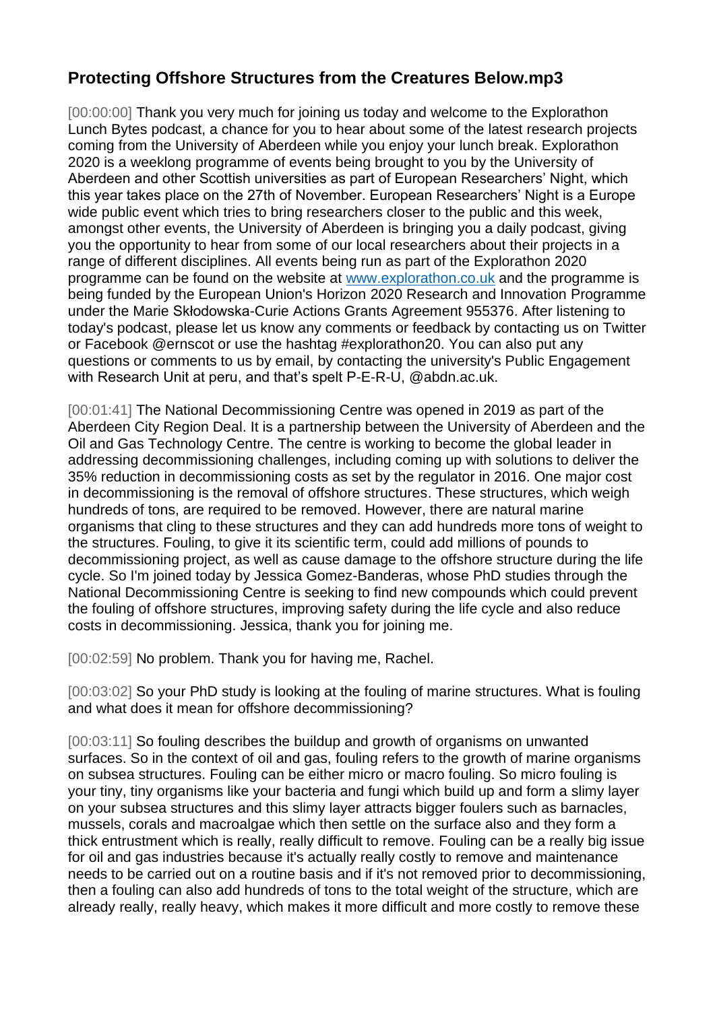## **Protecting Offshore Structures from the Creatures Below.mp3**

[00:00:00] Thank you very much for joining us today and welcome to the Explorathon Lunch Bytes podcast, a chance for you to hear about some of the latest research projects coming from the University of Aberdeen while you enjoy your lunch break. Explorathon 2020 is a weeklong programme of events being brought to you by the University of Aberdeen and other Scottish universities as part of European Researchers' Night, which this year takes place on the 27th of November. European Researchers' Night is a Europe wide public event which tries to bring researchers closer to the public and this week, amongst other events, the University of Aberdeen is bringing you a daily podcast, giving you the opportunity to hear from some of our local researchers about their projects in a range of different disciplines. All events being run as part of the Explorathon 2020 programme can be found on the website at [www.explorathon.co.uk](http://www.explorathon.co.uk/) and the programme is being funded by the European Union's Horizon 2020 Research and Innovation Programme under the Marie Skłodowska-Curie Actions Grants Agreement 955376. After listening to today's podcast, please let us know any comments or feedback by contacting us on Twitter or Facebook @ernscot or use the hashtag #explorathon20. You can also put any questions or comments to us by email, by contacting the university's Public Engagement with Research Unit at peru, and that's spelt P-E-R-U, @abdn.ac.uk.

[00:01:41] The National Decommissioning Centre was opened in 2019 as part of the Aberdeen City Region Deal. It is a partnership between the University of Aberdeen and the Oil and Gas Technology Centre. The centre is working to become the global leader in addressing decommissioning challenges, including coming up with solutions to deliver the 35% reduction in decommissioning costs as set by the regulator in 2016. One major cost in decommissioning is the removal of offshore structures. These structures, which weigh hundreds of tons, are required to be removed. However, there are natural marine organisms that cling to these structures and they can add hundreds more tons of weight to the structures. Fouling, to give it its scientific term, could add millions of pounds to decommissioning project, as well as cause damage to the offshore structure during the life cycle. So I'm joined today by Jessica Gomez-Banderas, whose PhD studies through the National Decommissioning Centre is seeking to find new compounds which could prevent the fouling of offshore structures, improving safety during the life cycle and also reduce costs in decommissioning. Jessica, thank you for joining me.

[00:02:59] No problem. Thank you for having me, Rachel.

[00:03:02] So your PhD study is looking at the fouling of marine structures. What is fouling and what does it mean for offshore decommissioning?

[00:03:11] So fouling describes the buildup and growth of organisms on unwanted surfaces. So in the context of oil and gas, fouling refers to the growth of marine organisms on subsea structures. Fouling can be either micro or macro fouling. So micro fouling is your tiny, tiny organisms like your bacteria and fungi which build up and form a slimy layer on your subsea structures and this slimy layer attracts bigger foulers such as barnacles, mussels, corals and macroalgae which then settle on the surface also and they form a thick entrustment which is really, really difficult to remove. Fouling can be a really big issue for oil and gas industries because it's actually really costly to remove and maintenance needs to be carried out on a routine basis and if it's not removed prior to decommissioning, then a fouling can also add hundreds of tons to the total weight of the structure, which are already really, really heavy, which makes it more difficult and more costly to remove these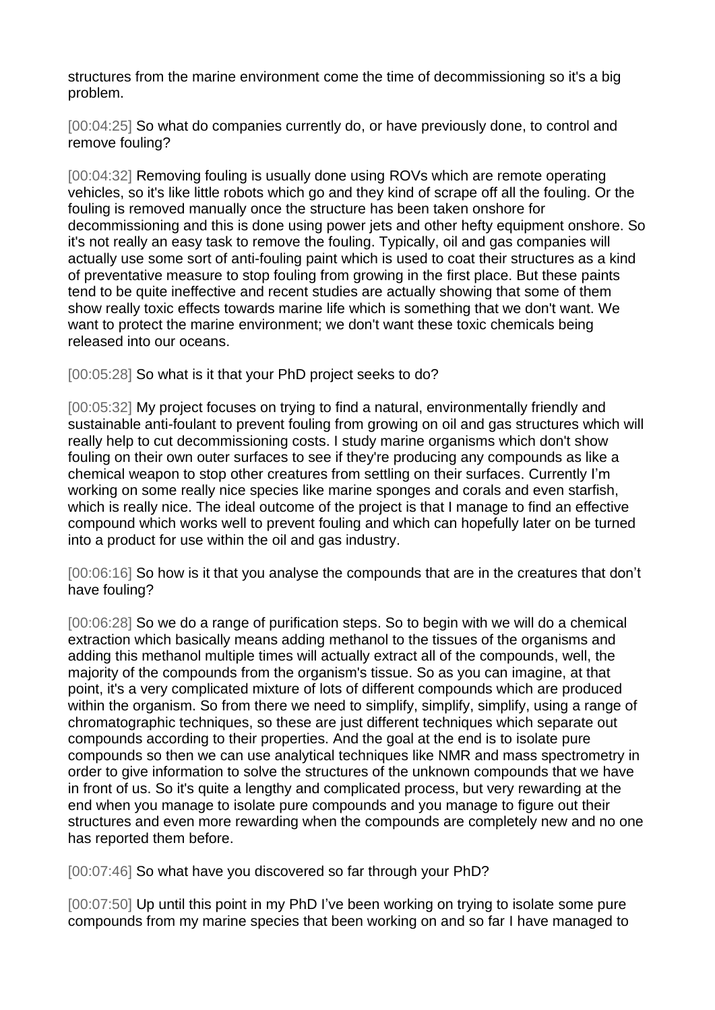structures from the marine environment come the time of decommissioning so it's a big problem.

[00:04:25] So what do companies currently do, or have previously done, to control and remove fouling?

[00:04:32] Removing fouling is usually done using ROVs which are remote operating vehicles, so it's like little robots which go and they kind of scrape off all the fouling. Or the fouling is removed manually once the structure has been taken onshore for decommissioning and this is done using power jets and other hefty equipment onshore. So it's not really an easy task to remove the fouling. Typically, oil and gas companies will actually use some sort of anti-fouling paint which is used to coat their structures as a kind of preventative measure to stop fouling from growing in the first place. But these paints tend to be quite ineffective and recent studies are actually showing that some of them show really toxic effects towards marine life which is something that we don't want. We want to protect the marine environment; we don't want these toxic chemicals being released into our oceans.

[00:05:28] So what is it that your PhD project seeks to do?

[00:05:32] My project focuses on trying to find a natural, environmentally friendly and sustainable anti-foulant to prevent fouling from growing on oil and gas structures which will really help to cut decommissioning costs. I study marine organisms which don't show fouling on their own outer surfaces to see if they're producing any compounds as like a chemical weapon to stop other creatures from settling on their surfaces. Currently I'm working on some really nice species like marine sponges and corals and even starfish, which is really nice. The ideal outcome of the project is that I manage to find an effective compound which works well to prevent fouling and which can hopefully later on be turned into a product for use within the oil and gas industry.

[00:06:16] So how is it that you analyse the compounds that are in the creatures that don't have fouling?

[00:06:28] So we do a range of purification steps. So to begin with we will do a chemical extraction which basically means adding methanol to the tissues of the organisms and adding this methanol multiple times will actually extract all of the compounds, well, the majority of the compounds from the organism's tissue. So as you can imagine, at that point, it's a very complicated mixture of lots of different compounds which are produced within the organism. So from there we need to simplify, simplify, simplify, using a range of chromatographic techniques, so these are just different techniques which separate out compounds according to their properties. And the goal at the end is to isolate pure compounds so then we can use analytical techniques like NMR and mass spectrometry in order to give information to solve the structures of the unknown compounds that we have in front of us. So it's quite a lengthy and complicated process, but very rewarding at the end when you manage to isolate pure compounds and you manage to figure out their structures and even more rewarding when the compounds are completely new and no one has reported them before.

[00:07:46] So what have you discovered so far through your PhD?

[00:07:50] Up until this point in my PhD I've been working on trying to isolate some pure compounds from my marine species that been working on and so far I have managed to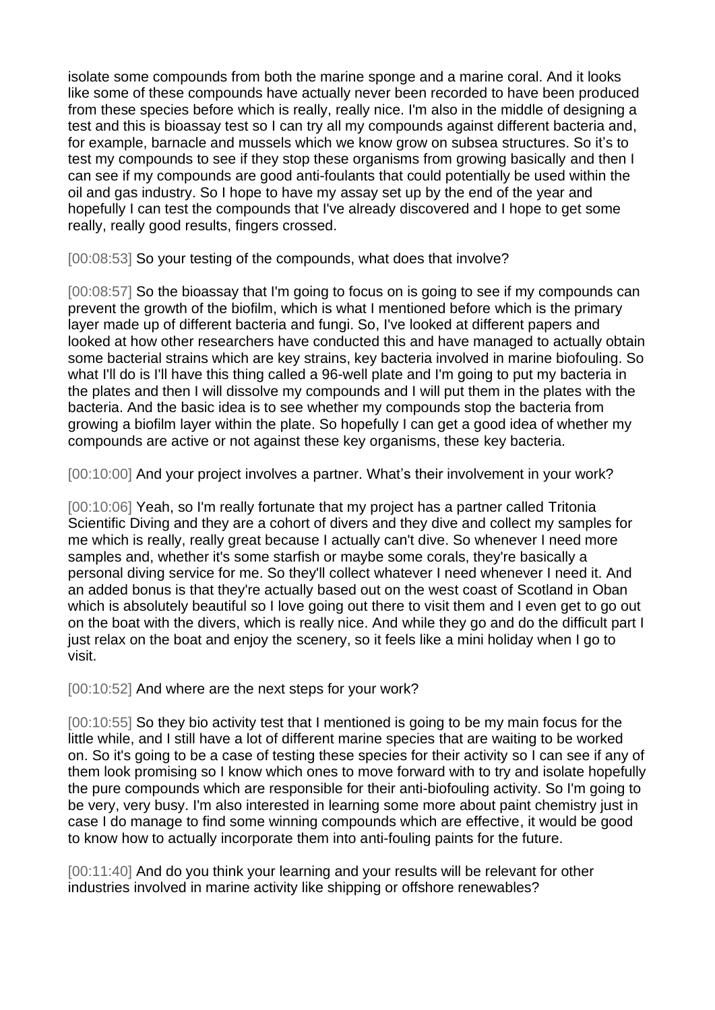isolate some compounds from both the marine sponge and a marine coral. And it looks like some of these compounds have actually never been recorded to have been produced from these species before which is really, really nice. I'm also in the middle of designing a test and this is bioassay test so I can try all my compounds against different bacteria and, for example, barnacle and mussels which we know grow on subsea structures. So it's to test my compounds to see if they stop these organisms from growing basically and then I can see if my compounds are good anti-foulants that could potentially be used within the oil and gas industry. So I hope to have my assay set up by the end of the year and hopefully I can test the compounds that I've already discovered and I hope to get some really, really good results, fingers crossed.

[00:08:53] So your testing of the compounds, what does that involve?

[00:08:57] So the bioassay that I'm going to focus on is going to see if my compounds can prevent the growth of the biofilm, which is what I mentioned before which is the primary layer made up of different bacteria and fungi. So, I've looked at different papers and looked at how other researchers have conducted this and have managed to actually obtain some bacterial strains which are key strains, key bacteria involved in marine biofouling. So what I'll do is I'll have this thing called a 96-well plate and I'm going to put my bacteria in the plates and then I will dissolve my compounds and I will put them in the plates with the bacteria. And the basic idea is to see whether my compounds stop the bacteria from growing a biofilm layer within the plate. So hopefully I can get a good idea of whether my compounds are active or not against these key organisms, these key bacteria.

[00:10:00] And your project involves a partner. What's their involvement in your work?

[00:10:06] Yeah, so I'm really fortunate that my project has a partner called Tritonia Scientific Diving and they are a cohort of divers and they dive and collect my samples for me which is really, really great because I actually can't dive. So whenever I need more samples and, whether it's some starfish or maybe some corals, they're basically a personal diving service for me. So they'll collect whatever I need whenever I need it. And an added bonus is that they're actually based out on the west coast of Scotland in Oban which is absolutely beautiful so I love going out there to visit them and I even get to go out on the boat with the divers, which is really nice. And while they go and do the difficult part I just relax on the boat and enjoy the scenery, so it feels like a mini holiday when I go to visit.

[00:10:52] And where are the next steps for your work?

[00:10:55] So they bio activity test that I mentioned is going to be my main focus for the little while, and I still have a lot of different marine species that are waiting to be worked on. So it's going to be a case of testing these species for their activity so I can see if any of them look promising so I know which ones to move forward with to try and isolate hopefully the pure compounds which are responsible for their anti-biofouling activity. So I'm going to be very, very busy. I'm also interested in learning some more about paint chemistry just in case I do manage to find some winning compounds which are effective, it would be good to know how to actually incorporate them into anti-fouling paints for the future.

[00:11:40] And do you think your learning and your results will be relevant for other industries involved in marine activity like shipping or offshore renewables?